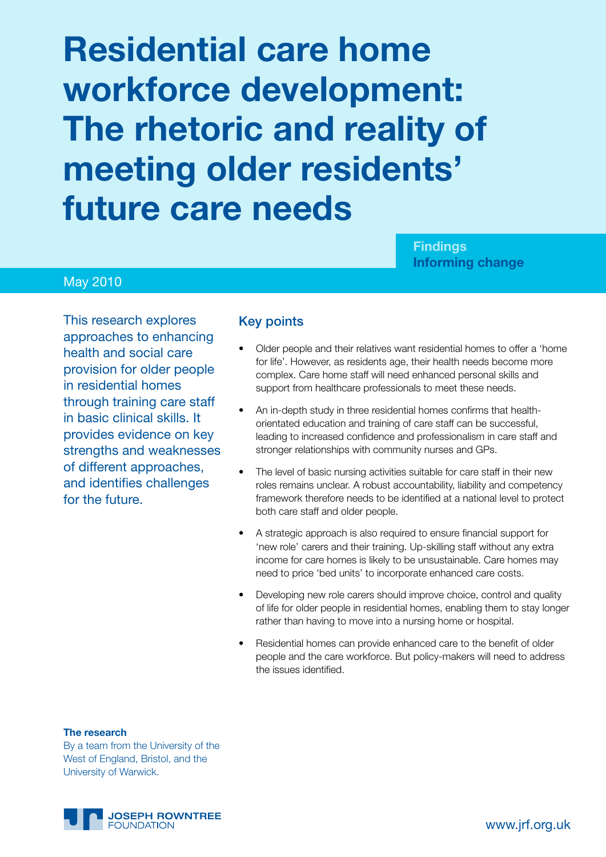# **Residential care home workforce development: The rhetoric and reality of meeting older residents' future care needs**

**Findings Informing change**

#### May 2010

This research explores approaches to enhancing health and social care provision for older people in residential homes through training care staff in basic clinical skills. It provides evidence on key strengths and weaknesses of different approaches, and identifies challenges for the future.

#### Key points

- Older people and their relatives want residential homes to offer a 'home for life'. However, as residents age, their health needs become more complex. Care home staff will need enhanced personal skills and support from healthcare professionals to meet these needs.
- An in-depth study in three residential homes confirms that healthorientated education and training of care staff can be successful, leading to increased confidence and professionalism in care staff and stronger relationships with community nurses and GPs.
- The level of basic nursing activities suitable for care staff in their new roles remains unclear. A robust accountability, liability and competency framework therefore needs to be identified at a national level to protect both care staff and older people.
- A strategic approach is also required to ensure financial support for 'new role' carers and their training. Up-skilling staff without any extra income for care homes is likely to be unsustainable. Care homes may need to price 'bed units' to incorporate enhanced care costs.
- Developing new role carers should improve choice, control and quality of life for older people in residential homes, enabling them to stay longer rather than having to move into a nursing home or hospital.
- Residential homes can provide enhanced care to the benefit of older people and the care workforce. But policy-makers will need to address the issues identified.

#### **The research**

By a team from the University of the West of England, Bristol, and the University of Warwick.

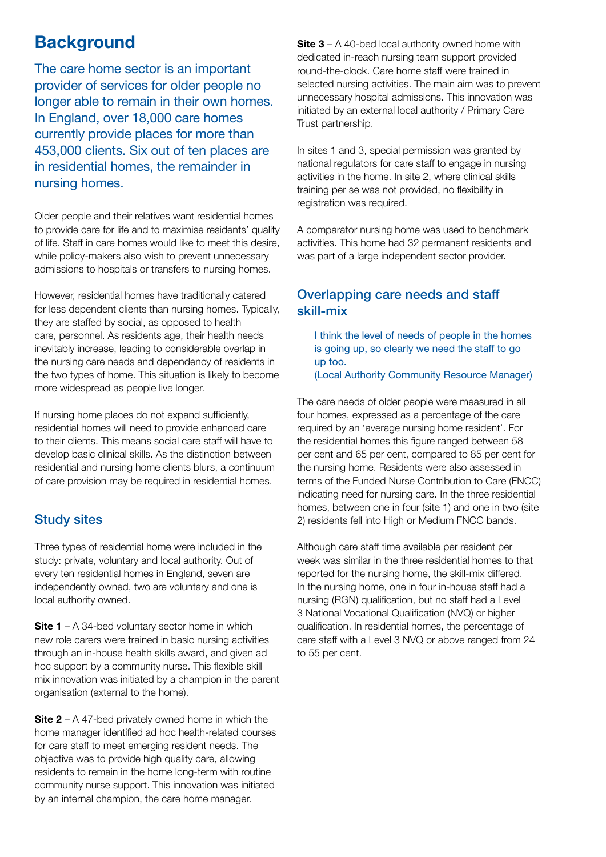## **Background**

The care home sector is an important provider of services for older people no longer able to remain in their own homes. In England, over 18,000 care homes currently provide places for more than 453,000 clients. Six out of ten places are in residential homes, the remainder in nursing homes.

Older people and their relatives want residential homes to provide care for life and to maximise residents' quality of life. Staff in care homes would like to meet this desire, while policy-makers also wish to prevent unnecessary admissions to hospitals or transfers to nursing homes.

However, residential homes have traditionally catered for less dependent clients than nursing homes. Typically, they are staffed by social, as opposed to health care, personnel. As residents age, their health needs inevitably increase, leading to considerable overlap in the nursing care needs and dependency of residents in the two types of home. This situation is likely to become more widespread as people live longer.

If nursing home places do not expand sufficiently, residential homes will need to provide enhanced care to their clients. This means social care staff will have to develop basic clinical skills. As the distinction between residential and nursing home clients blurs, a continuum of care provision may be required in residential homes.

#### Study sites

Three types of residential home were included in the study: private, voluntary and local authority. Out of every ten residential homes in England, seven are independently owned, two are voluntary and one is local authority owned.

**Site 1** – A 34-bed voluntary sector home in which new role carers were trained in basic nursing activities through an in-house health skills award, and given ad hoc support by a community nurse. This flexible skill mix innovation was initiated by a champion in the parent organisation (external to the home).

**Site 2** – A 47-bed privately owned home in which the home manager identified ad hoc health-related courses for care staff to meet emerging resident needs. The objective was to provide high quality care, allowing residents to remain in the home long-term with routine community nurse support. This innovation was initiated by an internal champion, the care home manager.

**Site 3** – A 40-bed local authority owned home with dedicated in-reach nursing team support provided round-the-clock. Care home staff were trained in selected nursing activities. The main aim was to prevent unnecessary hospital admissions. This innovation was initiated by an external local authority / Primary Care Trust partnership.

In sites 1 and 3, special permission was granted by national regulators for care staff to engage in nursing activities in the home. In site 2, where clinical skills training per se was not provided, no flexibility in registration was required.

A comparator nursing home was used to benchmark activities. This home had 32 permanent residents and was part of a large independent sector provider.

### Overlapping care needs and staff skill-mix

I think the level of needs of people in the homes is going up, so clearly we need the staff to go up too. (Local Authority Community Resource Manager)

The care needs of older people were measured in all four homes, expressed as a percentage of the care required by an 'average nursing home resident'. For the residential homes this figure ranged between 58 per cent and 65 per cent, compared to 85 per cent for the nursing home. Residents were also assessed in terms of the Funded Nurse Contribution to Care (FNCC) indicating need for nursing care. In the three residential homes, between one in four (site 1) and one in two (site 2) residents fell into High or Medium FNCC bands.

Although care staff time available per resident per week was similar in the three residential homes to that reported for the nursing home, the skill-mix differed. In the nursing home, one in four in-house staff had a nursing (RGN) qualification, but no staff had a Level 3 National Vocational Qualification (NVQ) or higher qualification. In residential homes, the percentage of care staff with a Level 3 NVQ or above ranged from 24 to 55 per cent.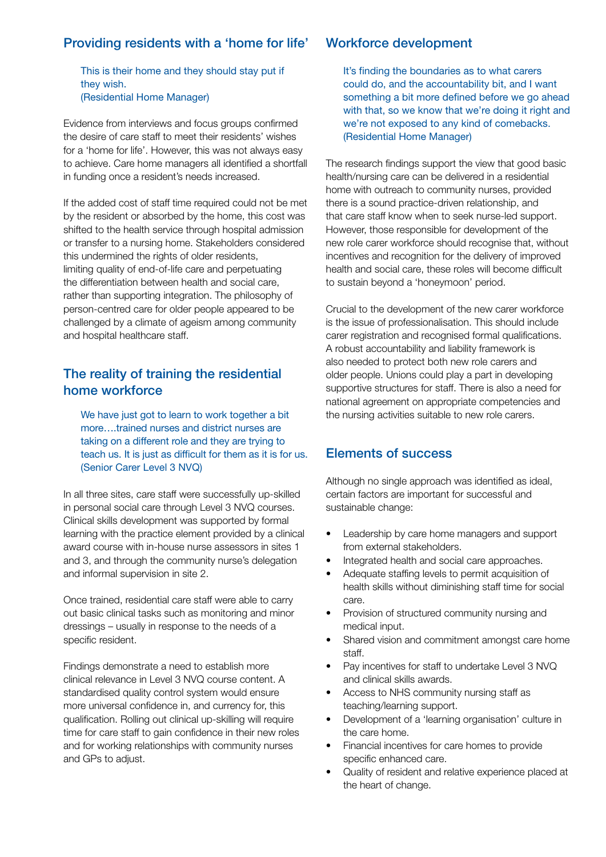#### Providing residents with a 'home for life'

This is their home and they should stay put if they wish. (Residential Home Manager)

Evidence from interviews and focus groups confirmed the desire of care staff to meet their residents' wishes for a 'home for life'. However, this was not always easy to achieve. Care home managers all identified a shortfall in funding once a resident's needs increased.

If the added cost of staff time required could not be met by the resident or absorbed by the home, this cost was shifted to the health service through hospital admission or transfer to a nursing home. Stakeholders considered this undermined the rights of older residents, limiting quality of end-of-life care and perpetuating the differentiation between health and social care, rather than supporting integration. The philosophy of person-centred care for older people appeared to be challenged by a climate of ageism among community and hospital healthcare staff.

#### The reality of training the residential home workforce

We have just got to learn to work together a bit more….trained nurses and district nurses are taking on a different role and they are trying to teach us. It is just as difficult for them as it is for us. (Senior Carer Level 3 NVQ)

In all three sites, care staff were successfully up-skilled in personal social care through Level 3 NVQ courses. Clinical skills development was supported by formal learning with the practice element provided by a clinical award course with in-house nurse assessors in sites 1 and 3, and through the community nurse's delegation and informal supervision in site 2.

Once trained, residential care staff were able to carry out basic clinical tasks such as monitoring and minor dressings – usually in response to the needs of a specific resident.

Findings demonstrate a need to establish more clinical relevance in Level 3 NVQ course content. A standardised quality control system would ensure more universal confidence in, and currency for, this qualification. Rolling out clinical up-skilling will require time for care staff to gain confidence in their new roles and for working relationships with community nurses and GPs to adjust.

#### Workforce development

It's finding the boundaries as to what carers could do, and the accountability bit, and I want something a bit more defined before we go ahead with that, so we know that we're doing it right and we're not exposed to any kind of comebacks. (Residential Home Manager)

The research findings support the view that good basic health/nursing care can be delivered in a residential home with outreach to community nurses, provided there is a sound practice-driven relationship, and that care staff know when to seek nurse-led support. However, those responsible for development of the new role carer workforce should recognise that, without incentives and recognition for the delivery of improved health and social care, these roles will become difficult to sustain beyond a 'honeymoon' period.

Crucial to the development of the new carer workforce is the issue of professionalisation. This should include carer registration and recognised formal qualifications. A robust accountability and liability framework is also needed to protect both new role carers and older people. Unions could play a part in developing supportive structures for staff. There is also a need for national agreement on appropriate competencies and the nursing activities suitable to new role carers.

#### Elements of success

Although no single approach was identified as ideal, certain factors are important for successful and sustainable change:

- Leadership by care home managers and support from external stakeholders.
- Integrated health and social care approaches.
- Adequate staffing levels to permit acquisition of health skills without diminishing staff time for social care.
- Provision of structured community nursing and medical input.
- Shared vision and commitment amongst care home staff.
- Pay incentives for staff to undertake Level 3 NVQ and clinical skills awards.
- Access to NHS community nursing staff as teaching/learning support.
- Development of a 'learning organisation' culture in the care home.
- Financial incentives for care homes to provide specific enhanced care.
- • Quality of resident and relative experience placed at the heart of change.